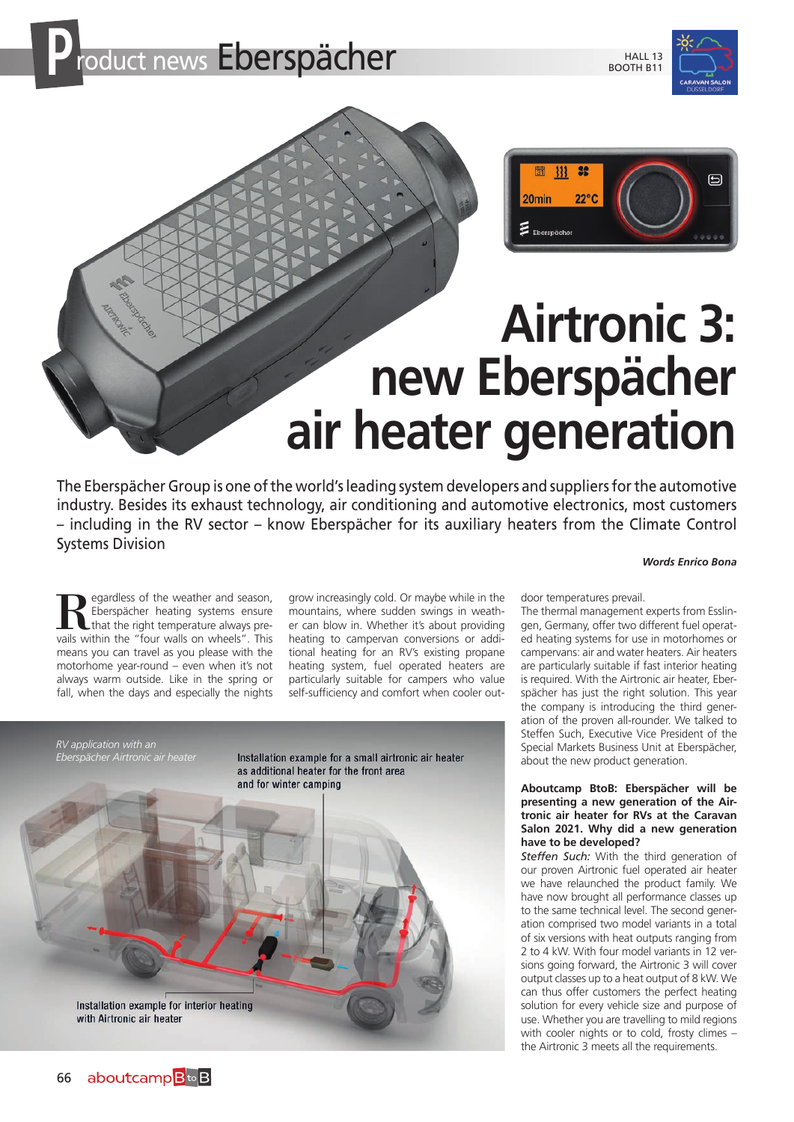



# **Airtronic 3: new Eberspächer air heater generation**

The Eberspächer Group is one of the world's leading system developers and suppliers for the automotive industry. Besides its exhaust technology, air conditioning and automotive electronics, most customers – including in the RV sector – know Eberspächer for its auxiliary heaters from the Climate Control Systems Division

*Words Enrico Bona*

**Regardless of the weather and season,**<br>Eberspächer heating systems ensure<br>that the right temperature always pre-<br>vails within the "four walls on wheels". This Eberspächer heating systems ensure that the right temperature always prevails within the "four walls on wheels". This means you can travel as you please with the motorhome year-round – even when it's not always warm outside. Like in the spring or fall, when the days and especially the nights

grow increasingly cold. Or maybe while in the mountains, where sudden swings in weather can blow in. Whether it's about providing heating to campervan conversions or additional heating for an RV's existing propane heating system, fuel operated heaters are particularly suitable for campers who value self-sufficiency and comfort when cooler out-



door temperatures prevail.

The thermal management experts from Esslingen, Germany, offer two different fuel operated heating systems for use in motorhomes or campervans: air and water heaters. Air heaters are particularly suitable if fast interior heating is required. With the Airtronic air heater, Eberspächer has just the right solution. This year the company is introducing the third generation of the proven all-rounder. We talked to Steffen Such, Executive Vice President of the Special Markets Business Unit at Eberspächer, about the new product generation.

# **Aboutcamp BtoB: Eberspächer will be presenting a new generation of the Airtronic air heater for RVs at the Caravan Salon 2021. Why did a new generation have to be developed?**

*Steffen Such:* With the third generation of our proven Airtronic fuel operated air heater we have relaunched the product family. We have now brought all performance classes up to the same technical level. The second generation comprised two model variants in a total of six versions with heat outputs ranging from 2 to 4 kW. With four model variants in 12 versions going forward, the Airtronic 3 will cover output classes up to a heat output of 8 kW. We can thus offer customers the perfect heating solution for every vehicle size and purpose of use. Whether you are travelling to mild regions with cooler nights or to cold, frosty climes – the Airtronic 3 meets all the requirements.